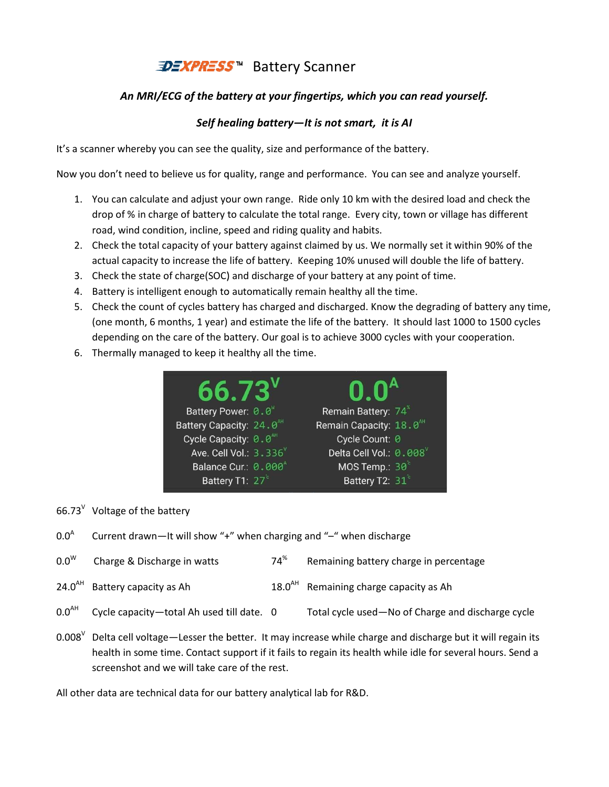## *<u><b>DEXPRESS*™ Battery Scanner</u>

## *An MRI/ECG of the battery at your fingertips, which you can read yourself. MRI/ECG of the battery read Self battery—It is not smart, it is AI*

## *Self healing battery*

It's a scanner whereby you can see the quality, size and performance of the battery.

Now you don't need to believe us for quality, range and performance. You can see and analyze yourself.

- 1. You can calculate and adjust your own range. Ride only 10 km with the desired load and check the drop of % in charge of battery to calculate the total range. Every city, town or village has different road, wind condition, incline, speed and riding quality and habits. 10 km with the desired load and check the<br>e. Every city, town or village has different<br>nd habits.<br>by us. We normally set it within 90% of the<br>0% unused will double the life of battery.<br>ttery at any point of time.<br>althy all
- 2. Check the total capacity of your battery against claimed by us. We normally set it within 90% of the actual capacity to increase the life of battery. Keeping 10% unused will double the life of battery. vind condition, incline, speed and riding quality and habits.<br>the total capacity of your battery against claimed by us. We normally set it within 90% of th<br>capacity to increase the life of battery. Keeping 10% unused will
- 3. Check the state of charge(SOC) and discharge of your battery at any point of time.
- 4. Battery is intelligent enough to automatically remain healthy all the time.
- 4. Battery is intelligent enough to automatically remain healthy all the time.<br>5. Check the count of cycles battery has charged and discharged. Know the degrading (one month, 6 months, 1 year) and estimate the life of the battery. It should last 1000 to 1500 cycles depending on the care of the battery. Our goal is to achieve 3000 cycles with your cooperation.
- 6. Thermally managed to keep it healthy all the time.

|                                                   |             | onths, 1 year) and estimate the life of the battery. It should last 1000 to 1500 cycle |  |
|---------------------------------------------------|-------------|----------------------------------------------------------------------------------------|--|
|                                                   |             | e care of the battery. Our goal is to achieve 3000 cycles with your cooperation.       |  |
| ged to keep it healthy all the time.              |             |                                                                                        |  |
|                                                   |             |                                                                                        |  |
| $66.73^v$                                         |             | $0.0^{\text{A}}$                                                                       |  |
| Battery Power: 0.0                                |             | Remain Battery: 74 <sup>%</sup>                                                        |  |
| Battery Capacity: 24.0 <sup>AH</sup>              |             | Remain Capacity: 18.0 <sup>AH</sup>                                                    |  |
| Cycle Capacity: $\Theta \cdot \Theta^{\text{AH}}$ |             | Cycle Count: 0                                                                         |  |
| Ave. Cell Vol.: 3.336                             |             | Delta Cell Vol.: 0.008                                                                 |  |
| Balance Cur.: 0.000 <sup>A</sup>                  |             | MOS Temp.: $30^{\circ}$                                                                |  |
| Battery T1: 27°                                   |             | Battery T2: 31°                                                                        |  |
|                                                   |             |                                                                                        |  |
| ittery                                            |             |                                                                                        |  |
|                                                   |             | It will show "+" when charging and "-" when discharge                                  |  |
| rge in watts                                      | $74^{\%}$   | Remaining battery charge in percentage                                                 |  |
| as Ah                                             | $18.0^{AA}$ | Remaining charge capacity as Ah                                                        |  |
| otal Ah used till date. 0:                        |             | Total cycle used-No of Charge and discharge cycle                                      |  |

66.73 $V$  Voltage of the battery

 $0.0<sup>A</sup>$ Current drawn—It will show "+" when charging and "-" when discharge

| $0.0^\mathsf{W}$ | Charge & Discharge in watts | $74^{\%}$ | Remaining battery charge in percentage |
|------------------|-----------------------------|-----------|----------------------------------------|
|------------------|-----------------------------|-----------|----------------------------------------|

- $24.0<sup>AH</sup>$  Battery capacity as Ah  $18.0<sup>AH</sup>$  Remaining charge capacity as Ah
- $0.0<sup>AH</sup>$  Cycle capacity—total Ah used till date. 0 Total cycle used—No of Charge and discharge cycle
- 0.008<sup>V</sup> Delta cell voltage—Lesser the better. It may increase while charge and discharge but it will regain its health in some time. Contact support if it fails to regain its health while idle for several hours. Send a screenshot and we will take care of the rest.

screenshot and we will take care of the rest.<br>All other data are technical data for our battery analytical lab for R&D.